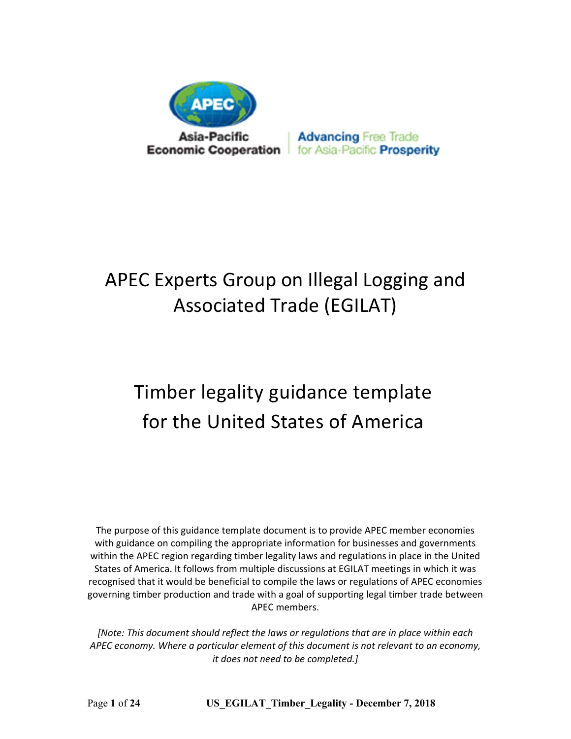

**Advancing Free Trade** for Asia-Pacific Prosperity

# APEC Experts Group on Illegal Logging and Associated Trade (EGILAT)

# Timber legality guidance template for the United States of America

The purpose of this guidance template document is to provide APEC member economies with guidance on compiling the appropriate information for businesses and governments within the APEC region regarding timber legality laws and regulations in place in the United States of America. It follows from multiple discussions at EGILAT meetings in which it was recognised that it would be beneficial to compile the laws or regulations of APEC economies governing timber production and trade with a goal of supporting legal timber trade between APEC members.

*[Note: This document should reflect the laws or regulations that are in place within each APEC economy. Where a particular element of this document is not relevant to an economy, it does not need to be completed.]* 

Page **1** of **24 US\_EGILAT\_Timber\_Legality - December 7, 2018**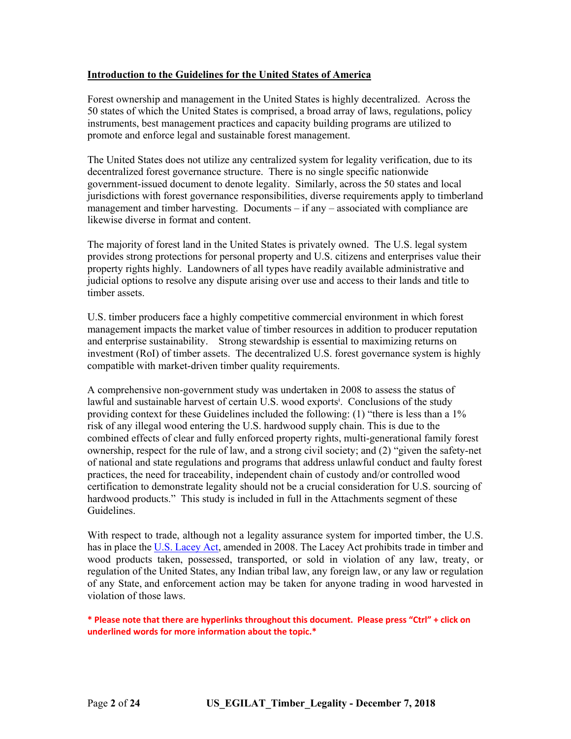#### **Introduction to the Guidelines for the United States of America**

Forest ownership and management in the United States is highly decentralized. Across the 50 states of which the United States is comprised, a broad array of laws, regulations, policy instruments, best management practices and capacity building programs are utilized to promote and enforce legal and sustainable forest management.

The United States does not utilize any centralized system for legality verification, due to its decentralized forest governance structure. There is no single specific nationwide government-issued document to denote legality. Similarly, across the 50 states and local jurisdictions with forest governance responsibilities, diverse requirements apply to timberland management and timber harvesting. Documents – if any – associated with compliance are likewise diverse in format and content.

The majority of forest land in the United States is privately owned. The U.S. legal system provides strong protections for personal property and U.S. citizens and enterprises value their property rights highly. Landowners of all types have readily available administrative and judicial options to resolve any dispute arising over use and access to their lands and title to timber assets.

U.S. timber producers face a highly competitive commercial environment in which forest management impacts the market value of timber resources in addition to producer reputation and enterprise sustainability. Strong stewardship is essential to maximizing returns on investment (RoI) of timber assets. The decentralized U.S. forest governance system is highly compatible with market-driven timber quality requirements.

A comprehensive non-government study was undertaken in 2008 to assess the status of lawful and sustainable harvest of certain U.S. wood exports<sup>i</sup>. Conclusions of the study providing context for these Guidelines included the following: (1) "there is less than a 1% risk of any illegal wood entering the U.S. hardwood supply chain. This is due to the combined effects of clear and fully enforced property rights, multi-generational family forest ownership, respect for the rule of law, and a strong civil society; and (2) "given the safety-net of national and state regulations and programs that address unlawful conduct and faulty forest practices, the need for traceability, independent chain of custody and/or controlled wood certification to demonstrate legality should not be a crucial consideration for U.S. sourcing of hardwood products." This study is included in full in the Attachments segment of these Guidelines.

With respect to trade, although not a legality assurance system for imported timber, the U.S. has in place the [U.S. Lacey Act](https://www.aphis.usda.gov/aphis/ourfocus/planthealth/import-information/SA_Lacey_Act), amended in 2008. The Lacey Act prohibits trade in timber and wood products taken, possessed, transported, or sold in violation of any law, treaty, or regulation of the United States, any Indian tribal law, any foreign law, or any law or regulation of any State, and enforcement action may be taken for anyone trading in wood harvested in violation of those laws.

**\* Please note that there are hyperlinks throughout this document. Please press "Ctrl" + click on underlined words for more information about the topic.\***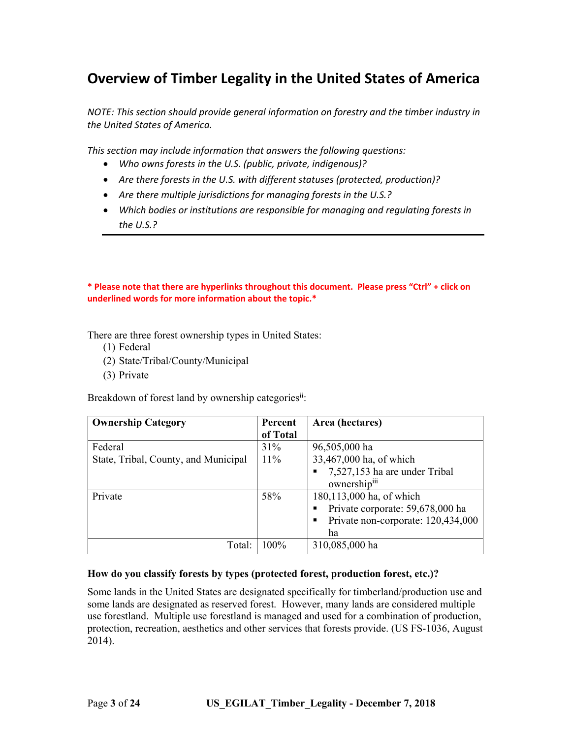## **Overview of Timber Legality in the United States of America**

*NOTE: This section should provide general information on forestry and the timber industry in the United States of America.* 

*This section may include information that answers the following questions:* 

- *Who owns forests in the U.S. (public, private, indigenous)?*
- *Are there forests in the U.S. with different statuses (protected, production)?*
- *Are there multiple jurisdictions for managing forests in the U.S.?*
- *Which bodies or institutions are responsible for managing and regulating forests in the U.S.?*

**\* Please note that there are hyperlinks throughout this document. Please press "Ctrl" + click on underlined words for more information about the topic.\*** 

There are three forest ownership types in United States:

- (1) Federal
- (2) State/Tribal/County/Municipal
- (3) Private

Breakdown of forest land by ownership categoriesii:

| <b>Ownership Category</b>            | Percent  | Area (hectares)                    |  |
|--------------------------------------|----------|------------------------------------|--|
|                                      | of Total |                                    |  |
| Federal                              | 31%      | 96,505,000 ha                      |  |
| State, Tribal, County, and Municipal | $11\%$   | 33,467,000 ha, of which            |  |
|                                      |          | 7,527,153 ha are under Tribal      |  |
|                                      |          | ownershipiii                       |  |
| Private                              | 58%      | 180,113,000 ha, of which           |  |
|                                      |          | Private corporate: 59,678,000 ha   |  |
|                                      |          | Private non-corporate: 120,434,000 |  |
|                                      |          | ha                                 |  |
| Total:                               | 100%     | 310,085,000 ha                     |  |

#### **How do you classify forests by types (protected forest, production forest, etc.)?**

Some lands in the United States are designated specifically for timberland/production use and some lands are designated as reserved forest. However, many lands are considered multiple use forestland. Multiple use forestland is managed and used for a combination of production, protection, recreation, aesthetics and other services that forests provide. (US FS-1036, August 2014).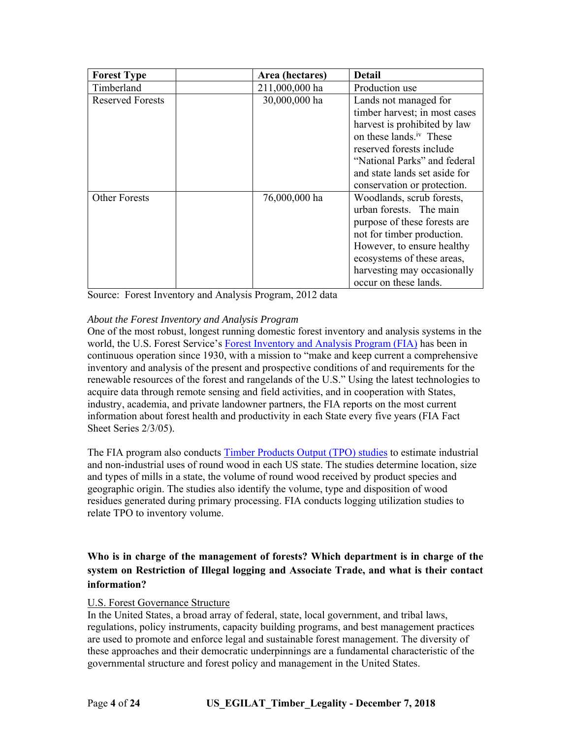| <b>Forest Type</b>      | Area (hectares) | <b>Detail</b>                       |
|-------------------------|-----------------|-------------------------------------|
| Timberland              | 211,000,000 ha  | Production use                      |
| <b>Reserved Forests</b> | 30,000,000 ha   | Lands not managed for               |
|                         |                 | timber harvest; in most cases       |
|                         |                 | harvest is prohibited by law        |
|                         |                 | on these lands. <sup>iv</sup> These |
|                         |                 | reserved forests include            |
|                         |                 | "National Parks" and federal        |
|                         |                 | and state lands set aside for       |
|                         |                 | conservation or protection.         |
| <b>Other Forests</b>    | 76,000,000 ha   | Woodlands, scrub forests,           |
|                         |                 | urban forests. The main             |
|                         |                 | purpose of these forests are        |
|                         |                 | not for timber production.          |
|                         |                 | However, to ensure healthy          |
|                         |                 | ecosystems of these areas,          |
|                         |                 | harvesting may occasionally         |
|                         |                 | occur on these lands.               |

Source: Forest Inventory and Analysis Program, 2012 data

#### *About the Forest Inventory and Analysis Program*

One of the most robust, longest running domestic forest inventory and analysis systems in the world, the U.S. Forest Service's [Forest Inventory and Analysis Program \(FIA](https://www.fia.fs.fed.us/)) has been in continuous operation since 1930, with a mission to "make and keep current a comprehensive inventory and analysis of the present and prospective conditions of and requirements for the renewable resources of the forest and rangelands of the U.S." Using the latest technologies to acquire data through remote sensing and field activities, and in cooperation with States, industry, academia, and private landowner partners, the FIA reports on the most current information about forest health and productivity in each State every five years (FIA Fact Sheet Series 2/3/05).

The FIA program also conducts [Timber Products Output \(TPO\) studies](https://www.fia.fs.fed.us/program-features/tpo/) to estimate industrial and non-industrial uses of round wood in each US state. The studies determine location, size and types of mills in a state, the volume of round wood received by product species and geographic origin. The studies also identify the volume, type and disposition of wood residues generated during primary processing. FIA conducts logging utilization studies to relate TPO to inventory volume.

#### **Who is in charge of the management of forests? Which department is in charge of the system on Restriction of Illegal logging and Associate Trade, and what is their contact information?**

#### U.S. Forest Governance Structure

In the United States, a broad array of federal, state, local government, and tribal laws, regulations, policy instruments, capacity building programs, and best management practices are used to promote and enforce legal and sustainable forest management. The diversity of these approaches and their democratic underpinnings are a fundamental characteristic of the governmental structure and forest policy and management in the United States.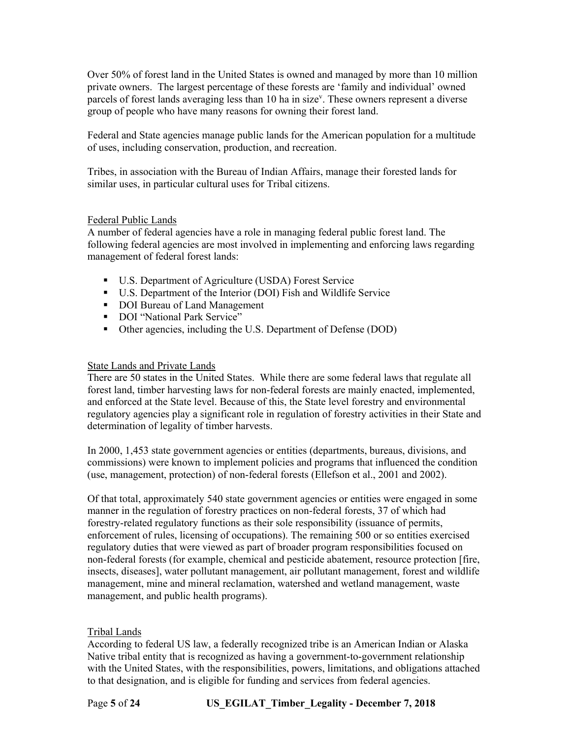Over 50% of forest land in the United States is owned and managed by more than 10 million private owners. The largest percentage of these forests are 'family and individual' owned parcels of forest lands averaging less than 10 ha in size<sup>v</sup>. These owners represent a diverse group of people who have many reasons for owning their forest land.

Federal and State agencies manage public lands for the American population for a multitude of uses, including conservation, production, and recreation.

Tribes, in association with the Bureau of Indian Affairs, manage their forested lands for similar uses, in particular cultural uses for Tribal citizens.

#### Federal Public Lands

A number of federal agencies have a role in managing federal public forest land. The following federal agencies are most involved in implementing and enforcing laws regarding management of federal forest lands:

- U.S. Department of Agriculture (USDA) Forest Service
- U.S. Department of the Interior (DOI) Fish and Wildlife Service
- DOI Bureau of Land Management
- DOI "National Park Service"
- Other agencies, including the U.S. Department of Defense (DOD)

#### State Lands and Private Lands

There are 50 states in the United States. While there are some federal laws that regulate all forest land, timber harvesting laws for non-federal forests are mainly enacted, implemented, and enforced at the State level. Because of this, the State level forestry and environmental regulatory agencies play a significant role in regulation of forestry activities in their State and determination of legality of timber harvests.

In 2000, 1,453 state government agencies or entities (departments, bureaus, divisions, and commissions) were known to implement policies and programs that influenced the condition (use, management, protection) of non-federal forests (Ellefson et al., 2001 and 2002).

Of that total, approximately 540 state government agencies or entities were engaged in some manner in the regulation of forestry practices on non-federal forests, 37 of which had forestry-related regulatory functions as their sole responsibility (issuance of permits, enforcement of rules, licensing of occupations). The remaining 500 or so entities exercised regulatory duties that were viewed as part of broader program responsibilities focused on non-federal forests (for example, chemical and pesticide abatement, resource protection [fire, insects, diseases], water pollutant management, air pollutant management, forest and wildlife management, mine and mineral reclamation, watershed and wetland management, waste management, and public health programs).

#### Tribal Lands

According to federal US law, a federally recognized tribe is an American Indian or Alaska Native tribal entity that is recognized as having a government-to-government relationship with the United States, with the responsibilities, powers, limitations, and obligations attached to that designation, and is eligible for funding and services from federal agencies.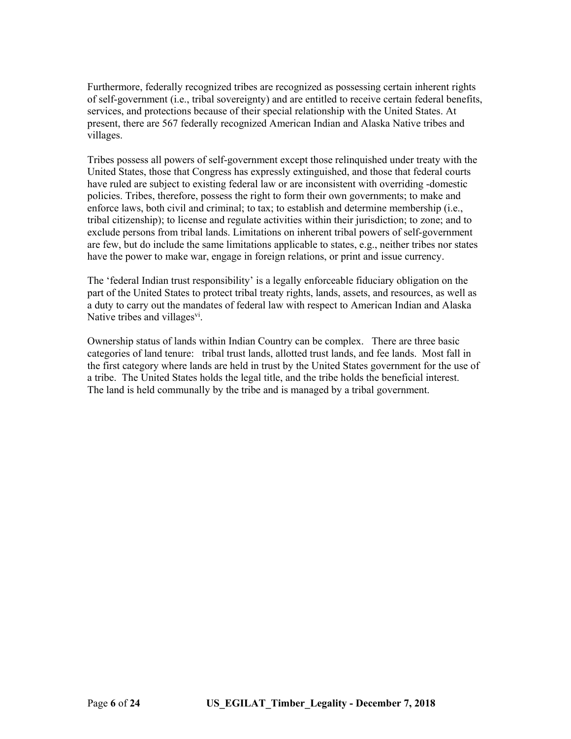Furthermore, federally recognized tribes are recognized as possessing certain inherent rights of self-government (i.e., tribal sovereignty) and are entitled to receive certain federal benefits, services, and protections because of their special relationship with the United States. At present, there are 567 federally recognized American Indian and Alaska Native tribes and villages.

Tribes possess all powers of self-government except those relinquished under treaty with the United States, those that Congress has expressly extinguished, and those that federal courts have ruled are subject to existing federal law or are inconsistent with overriding -domestic policies. Tribes, therefore, possess the right to form their own governments; to make and enforce laws, both civil and criminal; to tax; to establish and determine membership (i.e., tribal citizenship); to license and regulate activities within their jurisdiction; to zone; and to exclude persons from tribal lands. Limitations on inherent tribal powers of self-government are few, but do include the same limitations applicable to states, e.g., neither tribes nor states have the power to make war, engage in foreign relations, or print and issue currency.

The 'federal Indian trust responsibility' is a legally enforceable fiduciary obligation on the part of the United States to protect tribal treaty rights, lands, assets, and resources, as well as a duty to carry out the mandates of federal law with respect to American Indian and Alaska Native tribes and villages<sup>vi</sup>.

Ownership status of lands within Indian Country can be complex. There are three basic categories of land tenure: tribal trust lands, allotted trust lands, and fee lands. Most fall in the first category where lands are held in trust by the United States government for the use of a tribe. The United States holds the legal title, and the tribe holds the beneficial interest. The land is held communally by the tribe and is managed by a tribal government.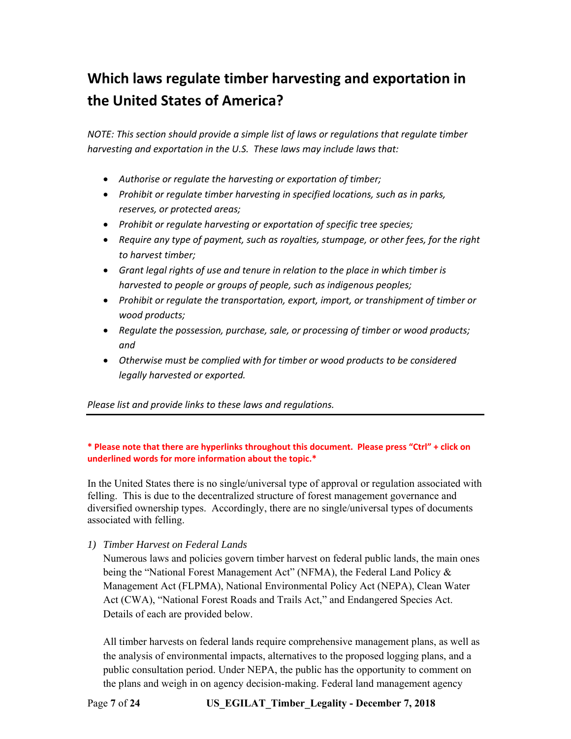# **Which laws regulate timber harvesting and exportation in the United States of America?**

*NOTE: This section should provide a simple list of laws or regulations that regulate timber harvesting and exportation in the U.S. These laws may include laws that:* 

- *Authorise or regulate the harvesting or exportation of timber;*
- *Prohibit or regulate timber harvesting in specified locations, such as in parks, reserves, or protected areas;*
- *Prohibit or regulate harvesting or exportation of specific tree species;*
- *Require any type of payment, such as royalties, stumpage, or other fees, for the right to harvest timber;*
- *Grant legal rights of use and tenure in relation to the place in which timber is harvested to people or groups of people, such as indigenous peoples;*
- *Prohibit or regulate the transportation, export, import, or transhipment of timber or wood products;*
- *Regulate the possession, purchase, sale, or processing of timber or wood products; and*
- *Otherwise must be complied with for timber or wood products to be considered legally harvested or exported.*

*Please list and provide links to these laws and regulations.* 

#### **\* Please note that there are hyperlinks throughout this document. Please press "Ctrl" + click on underlined words for more information about the topic.\***

In the United States there is no single/universal type of approval or regulation associated with felling. This is due to the decentralized structure of forest management governance and diversified ownership types. Accordingly, there are no single/universal types of documents associated with felling.

*1) Timber Harvest on Federal Lands* 

Numerous laws and policies govern timber harvest on federal public lands, the main ones being the "National Forest Management Act" (NFMA), the Federal Land Policy & Management Act (FLPMA), National Environmental Policy Act (NEPA), Clean Water Act (CWA), "National Forest Roads and Trails Act," and Endangered Species Act. Details of each are provided below.

All timber harvests on federal lands require comprehensive management plans, as well as the analysis of environmental impacts, alternatives to the proposed logging plans, and a public consultation period. Under NEPA, the public has the opportunity to comment on the plans and weigh in on agency decision-making. Federal land management agency

Page **7** of **24 US\_EGILAT\_Timber\_Legality - December 7, 2018**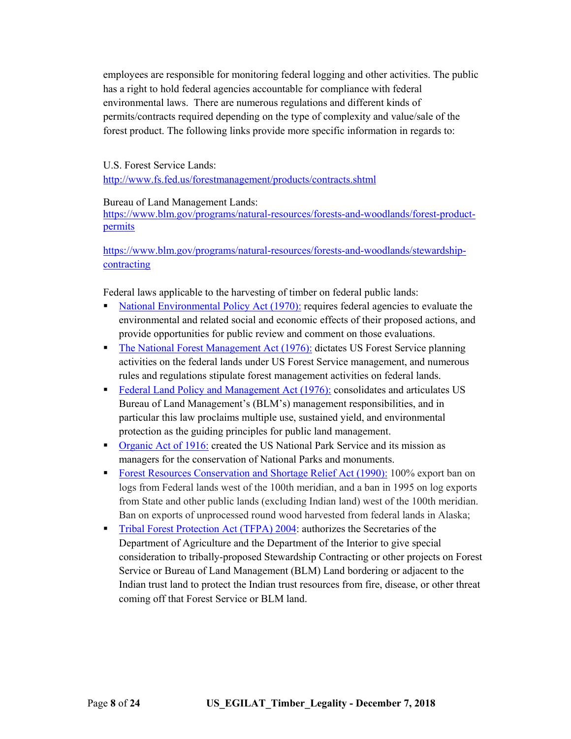employees are responsible for monitoring federal logging and other activities. The public has a right to hold federal agencies accountable for compliance with federal environmental laws. There are numerous regulations and different kinds of permits/contracts required depending on the type of complexity and value/sale of the forest product. The following links provide more specific information in regards to:

#### U.S. Forest Service Lands:

<http://www.fs.fed.us/forestmanagement/products/contracts.shtml>

#### Bureau of Land Management Lands:

[https://www.blm.gov/programs/natural-resources/forests-and-woodlands/forest-product](https://www.blm.gov/programs/natural-resources/forests-and-woodlands/forest-product-permits)permits

[https://www.blm.gov/programs/natural-resources/forests-and-woodlands/stewardship](https://www.blm.gov/programs/natural-resources/forests-and-woodlands/stewardship-contracting)contracting

Federal laws applicable to the harvesting of timber on federal public lands:

- [National Environmental Policy Act \(1970\):](https://www.epa.gov/nepa/what-national-environmental-policy-act) requires federal agencies to evaluate the environmental and related social and economic effects of their proposed actions, and provide opportunities for public review and comment on those evaluations.
- [The National Forest Management Act \(1976\):](https://www.fs.usda.gov/main/planningrule/history) dictates US Forest Service planning activities on the federal lands under US Forest Service management, and numerous rules and regulations stipulate forest management activities on federal lands.
- [Federal Land Policy and Management Act \(1976\):](https://www.blm.gov/download/file/fid/4518) consolidates and articulates US Bureau of Land Management's (BLM's) management responsibilities, and in particular this law proclaims multiple use, sustained yield, and environmental protection as the guiding principles for public land management.
- **•** [Organic Act of 1916:](https://www.nps.gov/grba/learn/management/organic-act-of-1916.htm) created the US National Park Service and its mission as managers for the conservation of National Parks and monuments.
- [Forest Resources Conservation and Shortage Relief Act \(1990\):](https://www.law.cornell.edu/cfr/text/36/part-223/subpart-F) 100% export ban on logs from Federal lands west of the 100th meridian, and a ban in 1995 on log exports from State and other public lands (excluding Indian land) west of the 100th meridian. Ban on exports of unprocessed round wood harvested from federal lands in Alaska;
- **[Tribal Forest Protection Act \(TFPA\) 2004:](https://www.fs.usda.gov/detail/r5/workingtogether/tribalrelations?cid=stelprdb5351850) authorizes the Secretaries of the** Department of Agriculture and the Department of the Interior to give special consideration to tribally-proposed Stewardship Contracting or other projects on Forest Service or Bureau of Land Management (BLM) Land bordering or adjacent to the Indian trust land to protect the Indian trust resources from fire, disease, or other threat coming off that Forest Service or BLM land.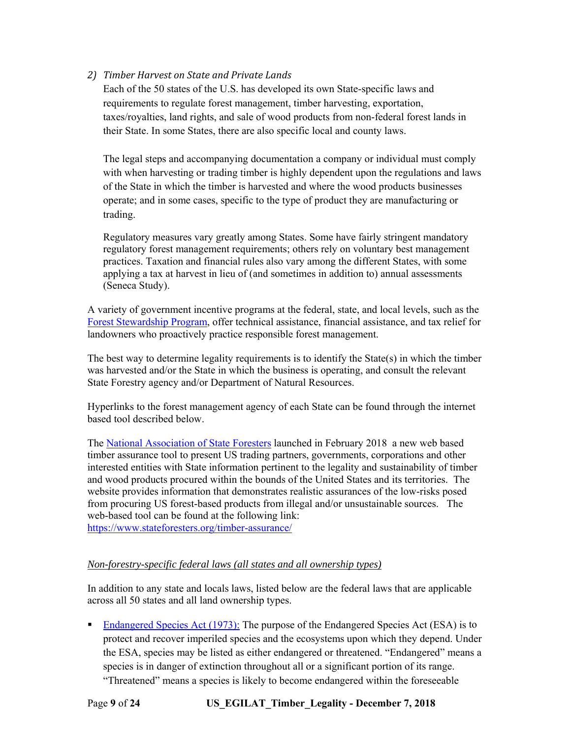#### *2) Timber Harvest on State and Private Lands*

Each of the 50 states of the U.S. has developed its own State-specific laws and requirements to regulate forest management, timber harvesting, exportation, taxes/royalties, land rights, and sale of wood products from non-federal forest lands in their State. In some States, there are also specific local and county laws.

The legal steps and accompanying documentation a company or individual must comply with when harvesting or trading timber is highly dependent upon the regulations and laws of the State in which the timber is harvested and where the wood products businesses operate; and in some cases, specific to the type of product they are manufacturing or trading.

Regulatory measures vary greatly among States. Some have fairly stringent mandatory regulatory forest management requirements; others rely on voluntary best management practices. Taxation and financial rules also vary among the different States, with some applying a tax at harvest in lieu of (and sometimes in addition to) annual assessments (Seneca Study).

A variety of government incentive programs at the federal, state, and local levels, such as the [Forest Stewardship Program](https://www.fs.fed.us/cooperativeforestry/programs/loa/fsp.shtml), offer technical assistance, financial assistance, and tax relief for landowners who proactively practice responsible forest management.

The best way to determine legality requirements is to identify the State(s) in which the timber was harvested and/or the State in which the business is operating, and consult the relevant State Forestry agency and/or Department of Natural Resources.

Hyperlinks to the forest management agency of each State can be found through the internet based tool described below.

The [National Association of State Foresters](https://stateforesters.org/about/who-we-are) launched in February 2018 a new web based timber assurance tool to present US trading partners, governments, corporations and other interested entities with State information pertinent to the legality and sustainability of timber and wood products procured within the bounds of the United States and its territories. The website provides information that demonstrates realistic assurances of the low-risks posed from procuring US forest-based products from illegal and/or unsustainable sources. The web-based tool can be found at the following link: <https://www.stateforesters.org/timber-assurance/>

#### *Non-forestry-specific federal laws (all states and all ownership types)*

In addition to any state and locals laws, listed below are the federal laws that are applicable across all 50 states and all land ownership types.

**[Endangered Species Act \(1973\):](http://www.nmfs.noaa.gov/pr/laws/esa/)** The purpose of the Endangered Species Act (ESA) is to protect and recover imperiled species and the ecosystems upon which they depend. Under the ESA, species may be listed as either endangered or threatened. "Endangered" means a species is in danger of extinction throughout all or a significant portion of its range. "Threatened" means a species is likely to become endangered within the foreseeable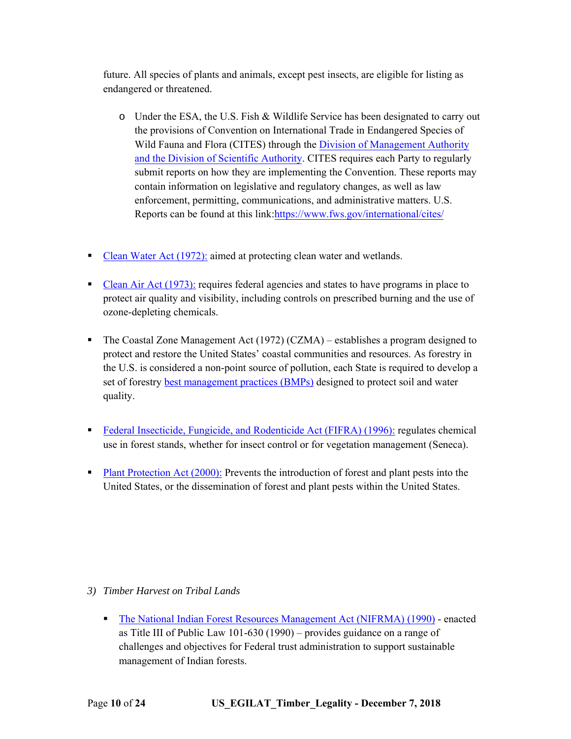future. All species of plants and animals, except pest insects, are eligible for listing as endangered or threatened.

- o Under the ESA, the U.S. Fish & Wildlife Service has been designated to carry out the provisions of Convention on International Trade in Endangered Species of Wild Fauna and Flora (CITES) through the Division of Management Authority and the Division [of Scientific Authority. CITES](https://www.fws.gov/international/cites/) requires each Party to regularly submit reports on how they are implementing the Convention. These reports may contain information on legislative and regulatory changes, as well as law enforcement, permitting, communications, and administrative matters. U.S. Reports can be found at this link:https://www.fws.gov/international/cites/
- [Clean Water Act \(1972\):](https://cfpub.epa.gov/watertrain/moduleFrame.cfm?parent_object_id=1522&object_id=1528) aimed at protecting clean water and wetlands.
- [Clean Air Act \(1973\):](https://www.epa.gov/laws-regulations/summary-clean-air-act) requires federal agencies and states to have programs in place to protect air quality and visibility, including controls on prescribed burning and the use of ozone-depleting chemicals.
- The Coastal Zone Management Act (1972) (CZMA) establishes a program designed to protect and restore the United States' coastal communities and resources. As forestry in the U.S. is considered a non-point source of pollution, each State is required to develop a set of forestry [best management practices \(BMPs\)](https://www.stateforesters.org/bmps/) designed to protect soil and water quality.
- [Federal Insecticide, Fungicide, and Rodenticide Act \(FIFRA\) \(1996\):](https://www.epa.gov/laws-regulations/summary-federal-insecticide-fungicide-and-rodenticide-act) regulates chemical use in forest stands, whether for insect control or for vegetation management (Seneca).
- [Plant Protection Act \(2000\):](https://www.aphis.usda.gov/brs/pdf/PlantProtAct2000.pdf) Prevents the introduction of forest and plant pests into the United States, or the dissemination of forest and plant pests within the United States.

#### *3) Timber Harvest on Tribal Lands*

 [The National Indian Forest Resources Management Act \(NIFRMA\) \(1990\)](http://uscode.house.gov/view.xhtml?path=/prelim@title25/chapter33&edition=prelim) - enacted as Title III of Public Law 101-630 (1990) – provides guidance on a range of challenges and objectives for Federal trust administration to support sustainable management of Indian forests.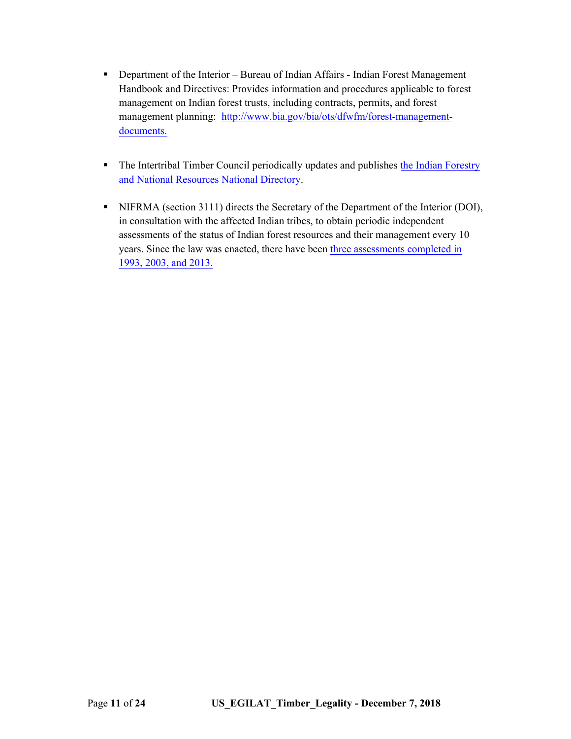- Department of the Interior Bureau of Indian Affairs Indian Forest Management Handbook and Directives: Provides information and procedures applicable to forest management on Indian forest trusts, including contracts, permits, and forest management planning: http://www.bia.gov/[bia/ots/dfwfm/forest-management](https://www.bia.gov/bia/ots/dfwfm/forest-management-documents)documents.
- [The Intertribal Timber Council periodically](http://www.itcnet.org/resources/directory.html) updates and publishes the Indian Forestry and National Resources National Directory.
- NIFRMA (section 3111) directs the Secretary of the Department of the Interior (DOI), in consultation with the affected Indian tribes, to obtain periodic independent assessments of the status of Indian forest resources and their management every 10 years. Since [the law was enacted, there have been three assessments](http://www.itcnet.org/issues_projects/issues_2/forest_management/assessment.html) completed in 1993, 2003, and 2013.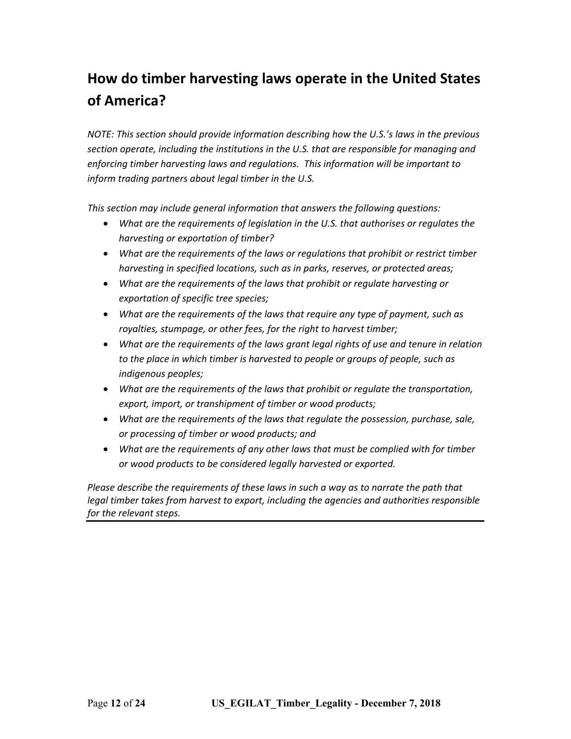# **How do timber harvesting laws operate in the United States of America?**

*NOTE: This section should provide information describing how the U.S.'s laws in the previous section operate, including the institutions in the U.S. that are responsible for managing and enforcing timber harvesting laws and regulations. This information will be important to inform trading partners about legal timber in the U.S.* 

*This section may include general information that answers the following questions:* 

- *What are the requirements of legislation in the U.S. that authorises or regulates the harvesting or exportation of timber?*
- *What are the requirements of the laws or regulations that prohibit or restrict timber harvesting in specified locations, such as in parks, reserves, or protected areas;*
- *What are the requirements of the laws that prohibit or regulate harvesting or exportation of specific tree species;*
- *What are the requirements of the laws that require any type of payment, such as royalties, stumpage, or other fees, for the right to harvest timber;*
- *What are the requirements of the laws grant legal rights of use and tenure in relation to the place in which timber is harvested to people or groups of people, such as indigenous peoples;*
- *What are the requirements of the laws that prohibit or regulate the transportation, export, import, or transhipment of timber or wood products;*
- *What are the requirements of the laws that regulate the possession, purchase, sale, or processing of timber or wood products; and*
- *What are the requirements of any other laws that must be complied with for timber or wood products to be considered legally harvested or exported.*

*Please describe the requirements of these laws in such a way as to narrate the path that legal timber takes from harvest to export, including the agencies and authorities responsible for the relevant steps.*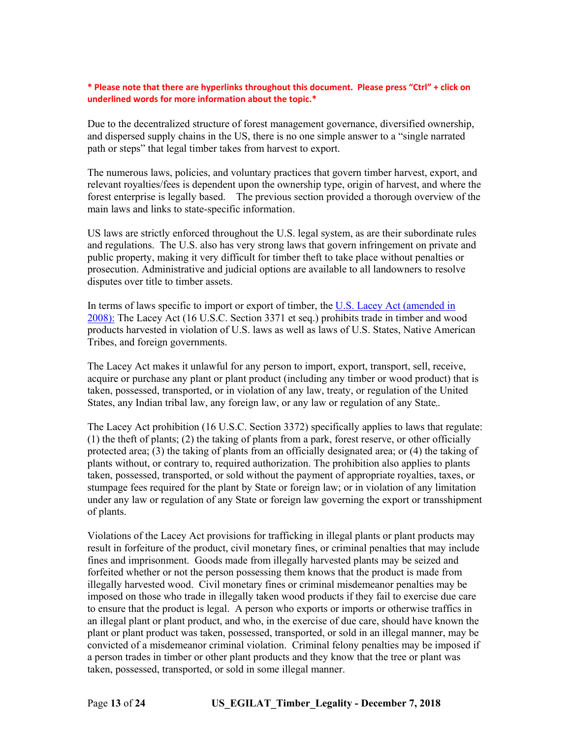#### **\* Please note that there are hyperlinks throughout this document. Please press "Ctrl" + click on underlined words for more information about the topic.\***

Due to the decentralized structure of forest management governance, diversified ownership, and dispersed supply chains in the US, there is no one simple answer to a "single narrated path or steps" that legal timber takes from harvest to export.

The numerous laws, policies, and voluntary practices that govern timber harvest, export, and relevant royalties/fees is dependent upon the ownership type, origin of harvest, and where the forest enterprise is legally based. The previous section provided a thorough overview of the main laws and links to state-specific information.

US laws are strictly enforced throughout the U.S. legal system, as are their subordinate rules and regulations. The U.S. also has very strong laws that govern infringement on private and public property, making it very difficult for timber theft to take place without penalties or prosecution. Administrative and judicial options are available to all landowners to resolve disputes over title to timber assets.

[In terms of laws specific to import or export of timber, the U.S. Lacey Act \(amended in](https://www.aphis.usda.gov/aphis/ourfocus/planthealth/import-information/SA_Lacey_Act) 2008): The Lacey Act (16 U.S.C. Section 3371 et seq.) prohibits trade in timber and wood products harvested in violation of U.S. laws as well as laws of U.S. States, Native American Tribes, and foreign governments.

The Lacey Act makes it unlawful for any person to import, export, transport, sell, receive, acquire or purchase any plant or plant product (including any timber or wood product) that is taken, possessed, transported, or in violation of any law, treaty, or regulation of the United States, any Indian tribal law, any foreign law, or any law or regulation of any State,.

The Lacey Act prohibition (16 U.S.C. Section 3372) specifically applies to laws that regulate: (1) the theft of plants; (2) the taking of plants from a park, forest reserve, or other officially protected area; (3) the taking of plants from an officially designated area; or (4) the taking of plants without, or contrary to, required authorization. The prohibition also applies to plants taken, possessed, transported, or sold without the payment of appropriate royalties, taxes, or stumpage fees required for the plant by State or foreign law; or in violation of any limitation under any law or regulation of any State or foreign law governing the export or transshipment of plants.

Violations of the Lacey Act provisions for trafficking in illegal plants or plant products may result in forfeiture of the product, civil monetary fines, or criminal penalties that may include fines and imprisonment. Goods made from illegally harvested plants may be seized and forfeited whether or not the person possessing them knows that the product is made from illegally harvested wood. Civil monetary fines or criminal misdemeanor penalties may be imposed on those who trade in illegally taken wood products if they fail to exercise due care to ensure that the product is legal. A person who exports or imports or otherwise traffics in an illegal plant or plant product, and who, in the exercise of due care, should have known the plant or plant product was taken, possessed, transported, or sold in an illegal manner, may be convicted of a misdemeanor criminal violation. Criminal felony penalties may be imposed if a person trades in timber or other plant products and they know that the tree or plant was taken, possessed, transported, or sold in some illegal manner.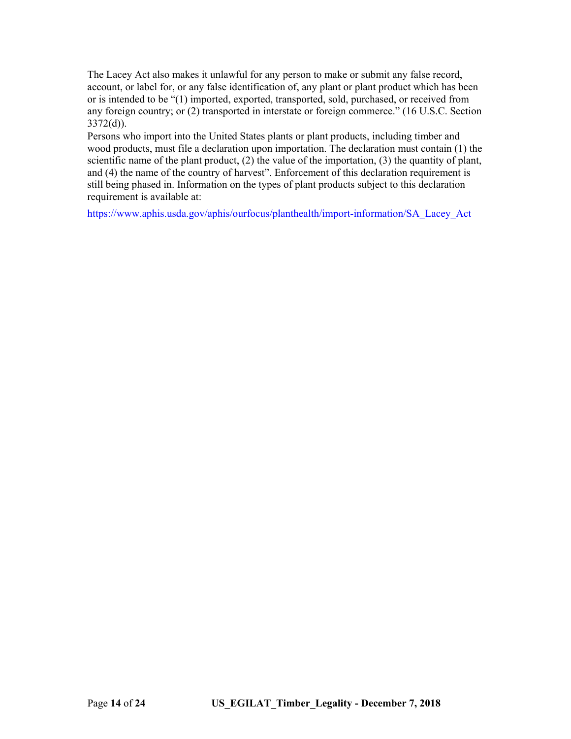The Lacey Act also makes it unlawful for any person to make or submit any false record, account, or label for, or any false identification of, any plant or plant product which has been or is intended to be "(1) imported, exported, transported, sold, purchased, or received from any foreign country; or (2) transported in interstate or foreign commerce." (16 U.S.C. Section 3372(d)).

Persons who import into the United States plants or plant products, including timber and wood products, must file a declaration upon importation. The declaration must contain (1) the scientific name of the plant product,  $(2)$  the value of the importation,  $(3)$  the quantity of plant, and (4) the name of the country of harvest". Enforcement of this declaration requirement is still being phased in. Information on the types of plant products subject to this declaration requirement is available at:

[https://www.aphis.usda.gov/aphis/ourfocus/planthealth/import-information/SA\\_Lacey\\_Act](https://www.aphis.usda.gov/aphis/ourfocus/planthealth/import-information/SA_Lacey_Act)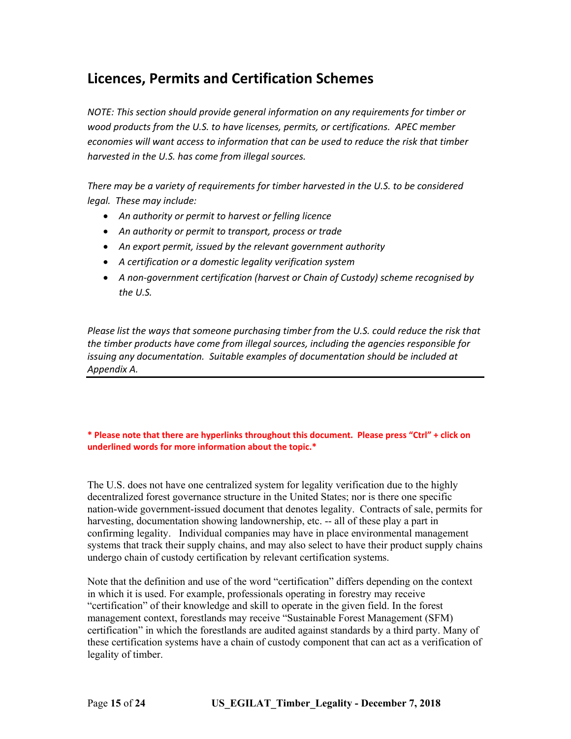### **Licences, Permits and Certification Schemes**

*NOTE: This section should provide general information on any requirements for timber or wood products from the U.S. to have licenses, permits, or certifications. APEC member economies will want access to information that can be used to reduce the risk that timber harvested in the U.S. has come from illegal sources.* 

*There may be a variety of requirements for timber harvested in the U.S. to be considered legal. These may include:* 

- *An authority or permit to harvest or felling licence*
- *An authority or permit to transport, process or trade*
- *An export permit, issued by the relevant government authority*
- *A certification or a domestic legality verification system*
- *A non‐government certification (harvest or Chain of Custody) scheme recognised by the U.S.*

*Please list the ways that someone purchasing timber from the U.S. could reduce the risk that the timber products have come from illegal sources, including the agencies responsible for issuing any documentation. Suitable examples of documentation should be included at Appendix A.* 

#### **\* Please note that there are hyperlinks throughout this document. Please press "Ctrl" + click on underlined words for more information about the topic.\***

The U.S. does not have one centralized system for legality verification due to the highly decentralized forest governance structure in the United States; nor is there one specific nation-wide government-issued document that denotes legality. Contracts of sale, permits for harvesting, documentation showing landownership, etc. -- all of these play a part in confirming legality. Individual companies may have in place environmental management systems that track their supply chains, and may also select to have their product supply chains undergo chain of custody certification by relevant certification systems.

Note that the definition and use of the word "certification" differs depending on the context in which it is used. For example, professionals operating in forestry may receive "certification" of their knowledge and skill to operate in the given field. In the forest management context, forestlands may receive "Sustainable Forest Management (SFM) certification" in which the forestlands are audited against standards by a third party. Many of these certification systems have a chain of custody component that can act as a verification of legality of timber.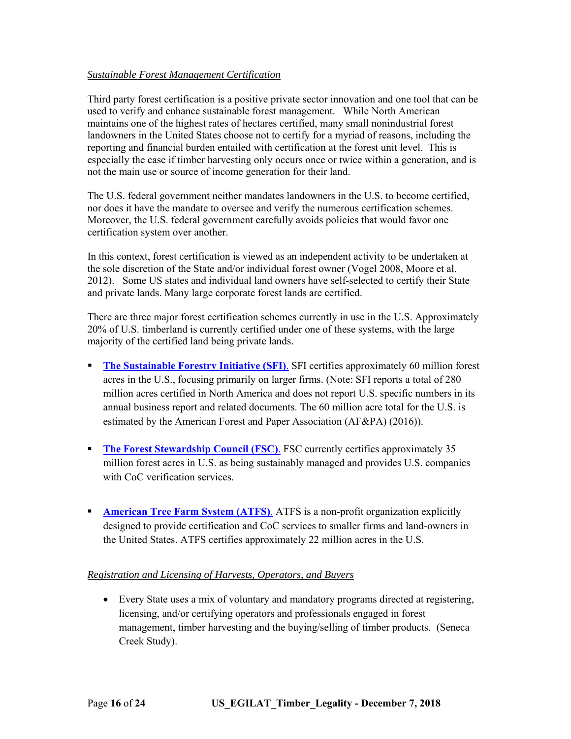#### *Sustainable Forest Management Certification*

Third party forest certification is a positive private sector innovation and one tool that can be used to verify and enhance sustainable forest management. While North American maintains one of the highest rates of hectares certified, many small nonindustrial forest landowners in the United States choose not to certify for a myriad of reasons, including the reporting and financial burden entailed with certification at the forest unit level. This is especially the case if timber harvesting only occurs once or twice within a generation, and is not the main use or source of income generation for their land.

The U.S. federal government neither mandates landowners in the U.S. to become certified, nor does it have the mandate to oversee and verify the numerous certification schemes. Moreover, the U.S. federal government carefully avoids policies that would favor one certification system over another.

In this context, forest certification is viewed as an independent activity to be undertaken at the sole discretion of the State and/or individual forest owner (Vogel 2008, Moore et al. 2012). Some US states and individual land owners have self-selected to certify their State and private lands. Many large corporate forest lands are certified.

There are three major forest certification schemes currently in use in the U.S. Approximately 20% of U.S. timberland is currently certified under one of these systems, with the large majority of the certified land being private lands.

- **[The Sustainable Forestry Initiative \(SFI\)](http://www.sfiprogram.org/)**. SFI certifies approximately 60 million forest acres in the U.S., focusing primarily on larger firms. (Note: SFI reports a total of 280 million acres certified in North America and does not report U.S. specific numbers in its annual business report and related documents. The 60 million acre total for the U.S. is estimated by the American Forest and Paper Association (AF&PA) (2016)).
- **[The Forest Stewardship Council \(FSC\)](https://us.fsc.org/en-us/what-we-do/facts-figures)**. FSC currently certifies approximately 35 million forest acres in U.S. as being sustainably managed and provides U.S. companies with CoC verification services.
- **[American Tree Farm System \(ATFS\)](https://www.treefarmsystem.org/certification-american-tree-farm-system).** ATFS is a non-profit organization explicitly designed to provide certification and CoC services to smaller firms and land-owners in the United States. ATFS certifies approximately 22 million acres in the U.S.

#### *Registration and Licensing of Harvests, Operators, and Buyers*

 Every State uses a mix of voluntary and mandatory programs directed at registering, licensing, and/or certifying operators and professionals engaged in forest management, timber harvesting and the buying/selling of timber products. (Seneca Creek Study).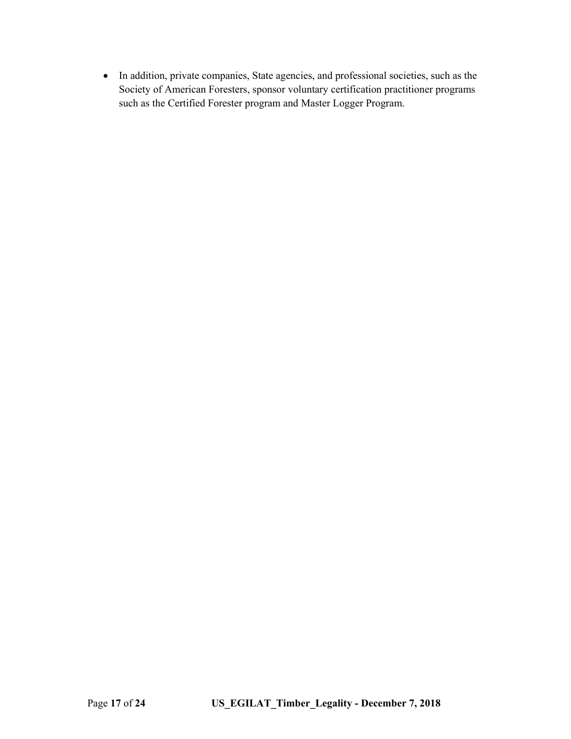In addition, private companies, State agencies, and professional societies, such as the Society of American Foresters, sponsor voluntary certification practitioner programs such as the Certified Forester program and Master Logger Program.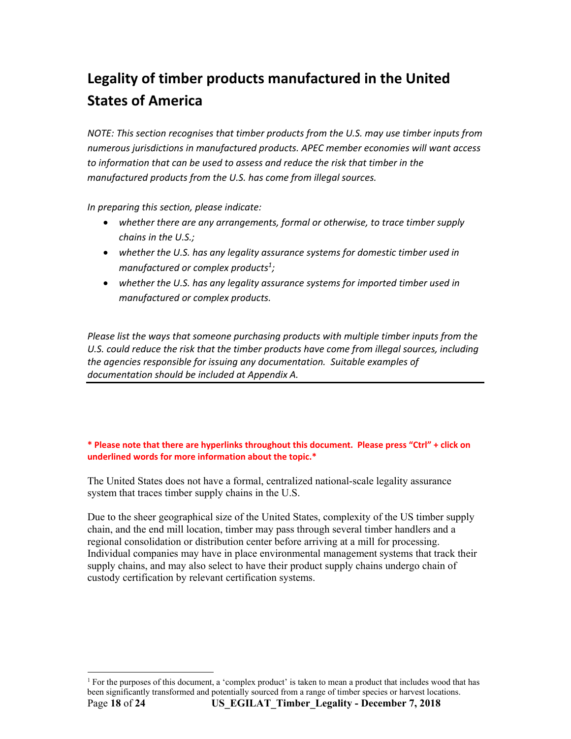# **Legality of timber products manufactured in the United States of America**

*NOTE: This section recognises that timber products from the U.S. may use timber inputs from numerous jurisdictions in manufactured products. APEC member economies will want access to information that can be used to assess and reduce the risk that timber in the*  manufactured products from the U.S. has come from illegal sources.

*In preparing this section, please indicate:* 

- *whether there are any arrangements, formal or otherwise, to trace timber supply chains in the U.S.;*
- *whether the U.S. has any legality assurance systems for domestic timber used in manufactured or complex products1;*
- *whether the U.S. has any legality assurance systems for imported timber used in manufactured or complex products.*

*Please list the ways that someone purchasing products with multiple timber inputs from the*  U.S. could reduce the risk that the timber products have come from illegal sources, including *the agencies responsible for issuing any documentation. Suitable examples of documentation should be included at Appendix A.* 

#### **\* Please note that there are hyperlinks throughout this document. Please press "Ctrl" + click on underlined words for more information about the topic.\***

The United States does not have a formal, centralized national-scale legality assurance system that traces timber supply chains in the U.S.

Due to the sheer geographical size of the United States, complexity of the US timber supply chain, and the end mill location, timber may pass through several timber handlers and a regional consolidation or distribution center before arriving at a mill for processing. Individual companies may have in place environmental management systems that track their supply chains, and may also select to have their product supply chains undergo chain of custody certification by relevant certification systems.

Page **18** of **24 US\_EGILAT\_Timber\_Legality - December 7, 2018**  -<sup>1</sup> For the purposes of this document, a 'complex product' is taken to mean a product that includes wood that has been significantly transformed and potentially sourced from a range of timber species or harvest locations.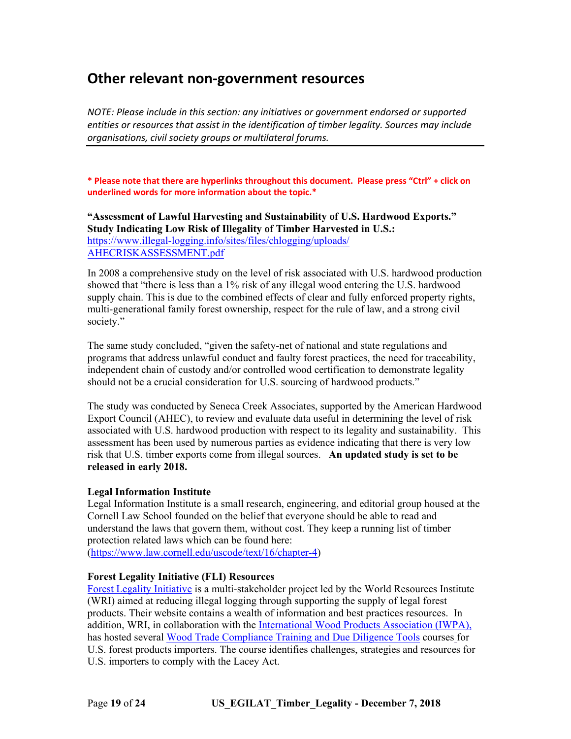### **Other relevant non‐government resources**

*NOTE: Please include in this section: any initiatives or government endorsed or supported entities or resources that assist in the identification of timber legality. Sources may include organisations, civil society groups or multilateral forums.* 

**\* Please note that there are hyperlinks throughout this document. Please press "Ctrl" + click on underlined words for more information about the topic.\***

**"Assessment of Lawful Harvesting and Sustainability of U.S. Hardwood Exports." Study Indicating Low Risk of Illegality of Timber Harvested in U.S.:**  [https://www.illegal-logging.info/sites/](https://www.illegal-logging.info/sites/files/chlogging/uploads/AHECRISKASSESSMENT.pdf)files/chlogging/uploads/ AHECRISKASSESSMENT.pdf

In 2008 a comprehensive study on the level of risk associated with U.S. hardwood production showed that "there is less than a 1% risk of any illegal wood entering the U.S. hardwood supply chain. This is due to the combined effects of clear and fully enforced property rights, multi-generational family forest ownership, respect for the rule of law, and a strong civil society."

The same study concluded, "given the safety-net of national and state regulations and programs that address unlawful conduct and faulty forest practices, the need for traceability, independent chain of custody and/or controlled wood certification to demonstrate legality should not be a crucial consideration for U.S. sourcing of hardwood products."

The study was conducted by Seneca Creek Associates, supported by the American Hardwood Export Council (AHEC), to review and evaluate data useful in determining the level of risk associated with U.S. hardwood production with respect to its legality and sustainability. This assessment has been used by numerous parties as evidence indicating that there is very low risk that U.S. timber exports come from illegal sources. **An updated study is set to be released in early 2018.**

#### **Legal Information Institute**

Legal Information Institute is a small research, engineering, and editorial group housed at the Cornell Law School founded on the belief that everyone should be able to read and understand the laws that govern them, without cost. They keep a running list of timber protection related laws which can be found here: [\(https://www.law.cornell.edu/uscode/text/16/chapter-4\)](https://www.law.cornell.edu/uscode/text/16/chapter-4)

#### **Forest Legality Initiative (FLI) Resources**

[Forest Legality Initiative](http://www.forestlegality.org/) is a multi-stakeholder project led by the World Resources Institute (WRI) aimed at reducing illegal logging through supporting the supply of legal forest products. Their website contains a wealth of information and best practices resources. In addition, WRI, in collaboration with the [International Wood Products Association \(IWPA\),](http://www.iwpawood.org/) has hosted several [Wood Trade Compliance Training and Due Diligence Tools](http://www.iwpawood.org/?page=DueDiligenceTrain) courses for U.S. forest products importers. The course identifies challenges, strategies and resources for U.S. importers to comply with the Lacey Act.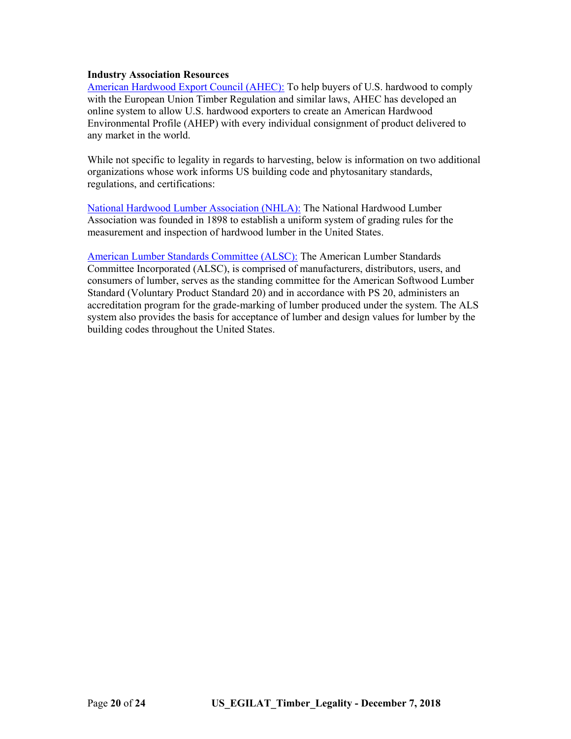#### **Industry Association Resources**

[American Hardwood Export Council \(AHEC\):](http://www.americanhardwood.org/en/environmental-profile/legality) To help buyers of U.S. hardwood to comply with the European Union Timber Regulation and similar laws, AHEC has developed an online system to allow U.S. hardwood exporters to create an American Hardwood Environmental Profile (AHEP) with every individual consignment of product delivered to any market in the world.

While not specific to legality in regards to harvesting, below is information on two additional organizations whose work informs US building code and phytosanitary standards, regulations, and certifications:

[National Hardwood Lumber Association \(NHLA\):](http://www.nhla.com/) The National Hardwood Lumber Association was founded in 1898 to establish a uniform system of grading rules for the measurement and inspection of hardwood lumber in the United States.

[American Lumber Standards Committee \(ALSC\):](http://www.alsc.org/geninfo_summary_mod.htm) The American Lumber Standards Committee Incorporated (ALSC), is comprised of manufacturers, distributors, users, and consumers of lumber, serves as the standing committee for the American Softwood Lumber Standard (Voluntary Product Standard 20) and in accordance with PS 20, administers an accreditation program for the grade-marking of lumber produced under the system. The ALS system also provides the basis for acceptance of lumber and design values for lumber by the building codes throughout the United States.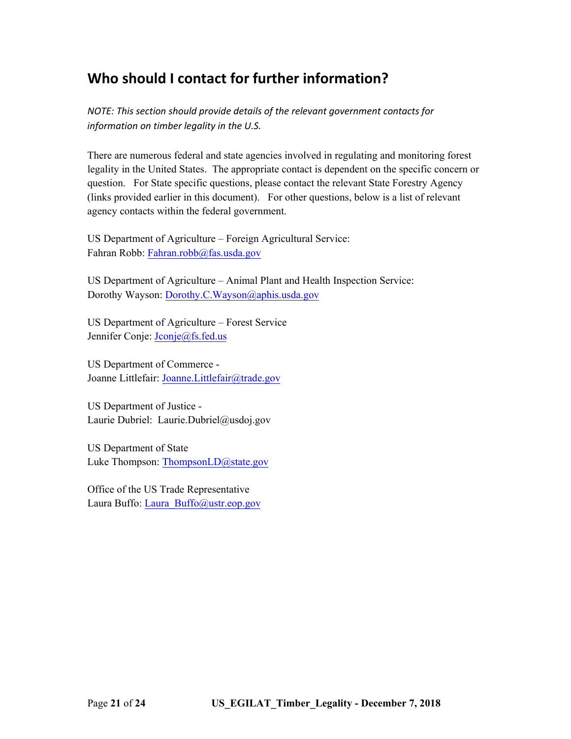## **Who should I contact for further information?**

*NOTE: This section should provide details of the relevant government contacts for information on timber legality in the U.S.* 

There are numerous federal and state agencies involved in regulating and monitoring forest legality in the United States. The appropriate contact is dependent on the specific concern or question. For State specific questions, please contact the relevant State Forestry Agency (links provided earlier in this document). For other questions, below is a list of relevant agency contacts within the federal government.

US Department of Agriculture – Foreign Agricultural Service: Fahran Robb: [Fahran.robb@fas.usda.gov](mailto:Fahran.robb@fas.usda.gov)

US Department of Agriculture – Animal Plant and Health Inspection Service: Dorothy Wayson: [Dorothy.C.Wayson@aphis.usda.gov](mailto:Dorothy.C.Wayson@aphis.usda.gov)

US Department of Agriculture – Forest Service Jennifer Conje: [Jconje@fs.fed.us](mailto:Jconje@fs.fed.us)

US Department of Commerce - Joanne Littlefair: [Joanne.Littlefair@trade.gov](mailto:Joanne.Littlefair@trade.gov)

US Department of Justice - Laurie Dubriel: Laurie.Dubriel@usdoj.gov

US Department of State Luke Thompson: ThompsonLD@state.gov

Office of the US Trade Representative Laura Buffo: Laura\_Buffo@ustr.eop.gov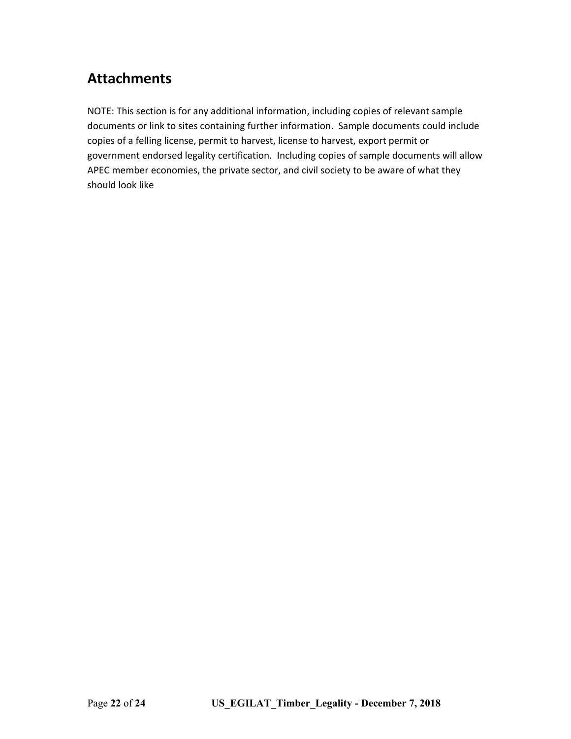## **Attachments**

NOTE: This section is for any additional information, including copies of relevant sample documents or link to sites containing further information. Sample documents could include copies of a felling license, permit to harvest, license to harvest, export permit or government endorsed legality certification. Including copies of sample documents will allow APEC member economies, the private sector, and civil society to be aware of what they should look like